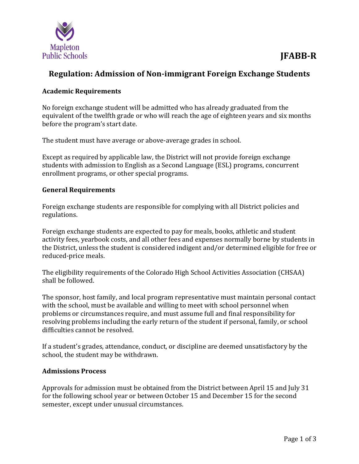

# **Regulation: Admission of Non-immigrant Foreign Exchange Students**

## **Academic Requirements**

No foreign exchange student will be admitted who has already graduated from the equivalent of the twelfth grade or who will reach the age of eighteen years and six months before the program's start date.

The student must have average or above-average grades in school.

Except as required by applicable law, the District will not provide foreign exchange students with admission to English as a Second Language (ESL) programs, concurrent enrollment programs, or other special programs.

### **General Requirements**

Foreign exchange students are responsible for complying with all District policies and regulations.

Foreign exchange students are expected to pay for meals, books, athletic and student activity fees, yearbook costs, and all other fees and expenses normally borne by students in the District, unless the student is considered indigent and/or determined eligible for free or reduced-price meals.

The eligibility requirements of the Colorado High School Activities Association (CHSAA) shall be followed.

The sponsor, host family, and local program representative must maintain personal contact with the school, must be available and willing to meet with school personnel when problems or circumstances require, and must assume full and final responsibility for resolving problems including the early return of the student if personal, family, or school difficulties cannot be resolved.

If a student's grades, attendance, conduct, or discipline are deemed unsatisfactory by the school, the student may be withdrawn.

#### **Admissions Process**

Approvals for admission must be obtained from the District between April 15 and July 31 for the following school year or between October 15 and December 15 for the second semester, except under unusual circumstances.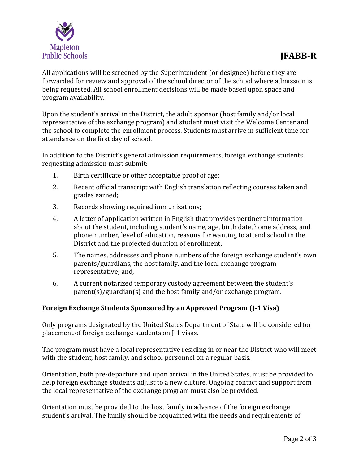

All applications will be screened by the Superintendent (or designee) before they are forwarded for review and approval of the school director of the school where admission is being requested. All school enrollment decisions will be made based upon space and program availability.

Upon the student's arrival in the District, the adult sponsor (host family and/or local representative of the exchange program) and student must visit the Welcome Center and the school to complete the enrollment process. Students must arrive in sufficient time for attendance on the first day of school.

In addition to the District's general admission requirements, foreign exchange students requesting admission must submit:

- 1. Birth certificate or other acceptable proof of age;
- 2. Recent official transcript with English translation reflecting courses taken and grades earned;
- 3. Records showing required immunizations;
- 4. A letter of application written in English that provides pertinent information about the student, including student's name, age, birth date, home address, and phone number, level of education, reasons for wanting to attend school in the District and the projected duration of enrollment;
- 5. The names, addresses and phone numbers of the foreign exchange student's own parents/guardians, the host family, and the local exchange program representative; and,
- 6. A current notarized temporary custody agreement between the student's parent(s)/guardian(s) and the host family and/or exchange program.

## **Foreign Exchange Students Sponsored by an Approved Program (J-1 Visa)**

Only programs designated by the United States Department of State will be considered for placement of foreign exchange students on J-1 visas.

The program must have a local representative residing in or near the District who will meet with the student, host family, and school personnel on a regular basis.

Orientation, both pre-departure and upon arrival in the United States, must be provided to help foreign exchange students adjust to a new culture. Ongoing contact and support from the local representative of the exchange program must also be provided.

Orientation must be provided to the host family in advance of the foreign exchange student's arrival. The family should be acquainted with the needs and requirements of